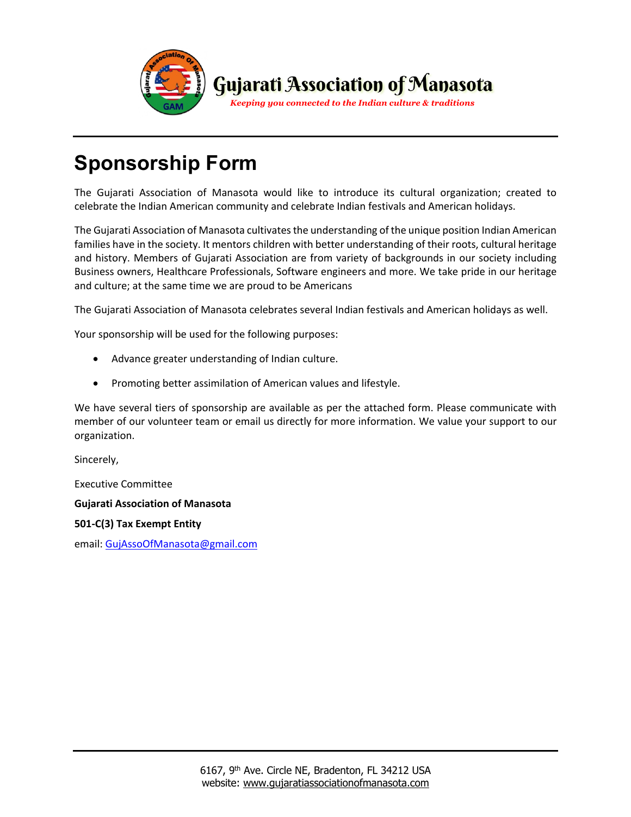

# **Sponsorship Form**

The Gujarati Association of Manasota would like to introduce its cultural organization; created to celebrate the Indian American community and celebrate Indian festivals and American holidays.

The Gujarati Association of Manasota cultivates the understanding of the unique position Indian American families have in the society. It mentors children with better understanding of their roots, cultural heritage and history. Members of Gujarati Association are from variety of backgrounds in our society including Business owners, Healthcare Professionals, Software engineers and more. We take pride in our heritage and culture; at the same time we are proud to be Americans

The Gujarati Association of Manasota celebrates several Indian festivals and American holidays as well.

Your sponsorship will be used for the following purposes:

- Advance greater understanding of Indian culture.
- Promoting better assimilation of American values and lifestyle.

We have several tiers of sponsorship are available as per the attached form. Please communicate with member of our volunteer team or email us directly for more information. We value your support to our organization.

Sincerely,

Executive Committee

**Gujarati Association of Manasota**

**501-C(3) Tax Exempt Entity**

email: GujAssoOfManasota@gmail.com